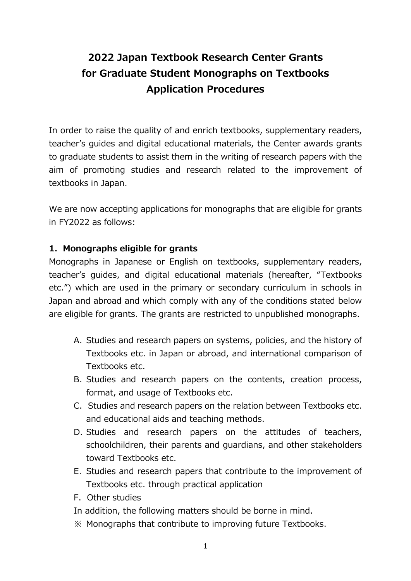# **2022 Japan Textbook Research Center Grants for Graduate Student Monographs on Textbooks Application Procedures**

In order to raise the quality of and enrich textbooks, supplementary readers, teacher's guides and digital educational materials, the Center awards grants to graduate students to assist them in the writing of research papers with the aim of promoting studies and research related to the improvement of textbooks in Japan.

We are now accepting applications for monographs that are eligible for grants in FY2022 as follows:

#### **1. Monographs eligible for grants**

Monographs in Japanese or English on textbooks, supplementary readers, teacher's guides, and digital educational materials (hereafter, "Textbooks etc.") which are used in the primary or secondary curriculum in schools in Japan and abroad and which comply with any of the conditions stated below are eligible for grants. The grants are restricted to unpublished monographs.

- A. Studies and research papers on systems, policies, and the history of Textbooks etc. in Japan or abroad, and international comparison of Textbooks etc.
- B. Studies and research papers on the contents, creation process, format, and usage of Textbooks etc.
- C. Studies and research papers on the relation between Textbooks etc. and educational aids and teaching methods.
- D. Studies and research papers on the attitudes of teachers, schoolchildren, their parents and guardians, and other stakeholders toward Textbooks etc.
- E. Studies and research papers that contribute to the improvement of Textbooks etc. through practical application
- F. Other studies
- In addition, the following matters should be borne in mind.
- ※ Monographs that contribute to improving future Textbooks.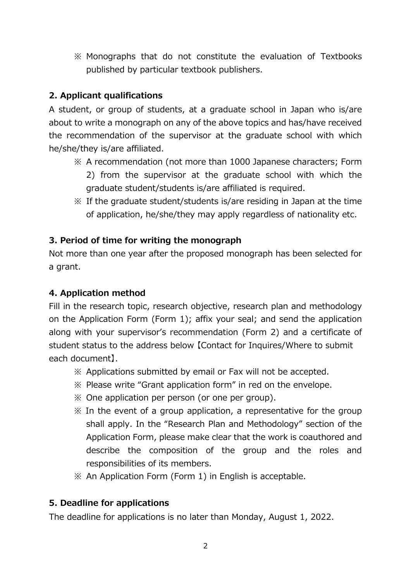※ Monographs that do not constitute the evaluation of Textbooks published by particular textbook publishers.

## **2. Applicant qualifications**

A student, or group of students, at a graduate school in Japan who is/are about to write a monograph on any of the above topics and has/have received the recommendation of the supervisor at the graduate school with which he/she/they is/are affiliated.

- ※ A recommendation (not more than 1000 Japanese characters; Form 2) from the supervisor at the graduate school with which the graduate student/students is/are affiliated is required.
- ※ If the graduate student/students is/are residing in Japan at the time of application, he/she/they may apply regardless of nationality etc.

## **3. Period of time for writing the monograph**

Not more than one year after the proposed monograph has been selected for a grant.

#### **4. Application method**

Fill in the research topic, research objective, research plan and methodology on the Application Form (Form 1); affix your seal; and send the application along with your supervisor's recommendation (Form 2) and a certificate of student status to the address below 【Contact for Inquires/Where to submit each document】.

- ※ Applications submitted by email or Fax will not be accepted.
- ※ Please write "Grant application form" in red on the envelope.
- ※ One application per person (or one per group).
- $\mathcal X$  In the event of a group application, a representative for the group shall apply. In the "Research Plan and Methodology" section of the Application Form, please make clear that the work is coauthored and describe the composition of the group and the roles and responsibilities of its members.
- ※ An Application Form (Form 1) in English is acceptable.

## **5. Deadline for applications**

The deadline for applications is no later than Monday, August 1, 2022.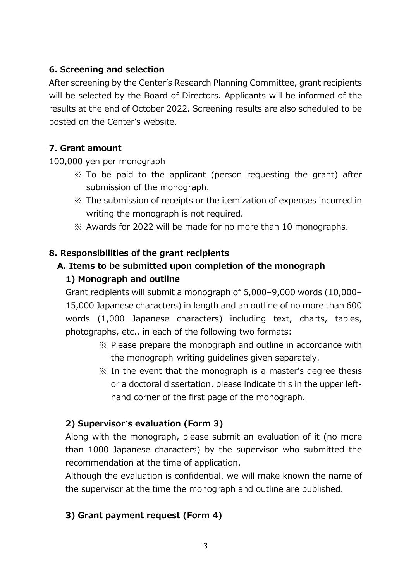# **6. Screening and selection**

After screening by the Center's Research Planning Committee, grant recipients will be selected by the Board of Directors. Applicants will be informed of the results at the end of October 2022. Screening results are also scheduled to be posted on the Center's website.

# **7. Grant amount**

100,000 yen per monograph

- ※ To be paid to the applicant (person requesting the grant) after submission of the monograph.
- ※ The submission of receipts or the itemization of expenses incurred in writing the monograph is not required.
- ※ Awards for 2022 will be made for no more than 10 monographs.

# **8. Responsibilities of the grant recipients**

# **A. Items to be submitted upon completion of the monograph**

# **1) Monograph and outline**

Grant recipients will submit a monograph of 6,000–9,000 words (10,000– 15,000 Japanese characters) in length and an outline of no more than 600 words (1,000 Japanese characters) including text, charts, tables, photographs, etc., in each of the following two formats:

- ※ Please prepare the monograph and outline in accordance with the monograph-writing guidelines given separately.
- $\mathcal X$  In the event that the monograph is a master's degree thesis or a doctoral dissertation, please indicate this in the upper lefthand corner of the first page of the monograph.

# **2) Supervisor's evaluation (Form 3)**

Along with the monograph, please submit an evaluation of it (no more than 1000 Japanese characters) by the supervisor who submitted the recommendation at the time of application.

Although the evaluation is confidential, we will make known the name of the supervisor at the time the monograph and outline are published.

# **3) Grant payment request (Form 4)**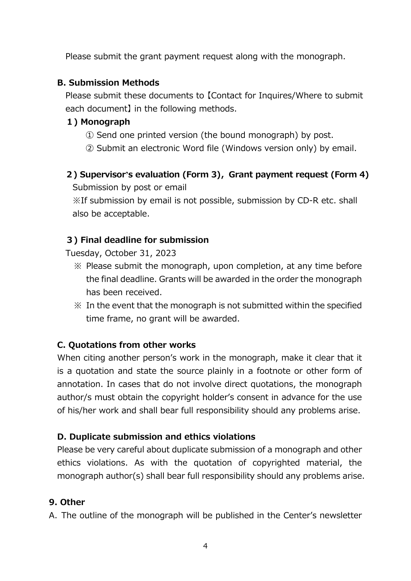Please submit the grant payment request along with the monograph.

#### **B. Submission Methods**

Please submit these documents to 【Contact for Inquires/Where to submit each document】 in the following methods.

# **1) Monograph**

- ① Send one printed version (the bound monograph) by post.
- ② Submit an electronic Word file (Windows version only) by email.
- **2) Supervisor's evaluation (Form 3),Grant payment request (Form 4)**

Submission by post or email

※If submission by email is not possible, submission by CD-R etc. shall also be acceptable.

## **3) Final deadline for submission**

Tuesday, October 31, 2023

- ※ Please submit the monograph, upon completion, at any time before the final deadline. Grants will be awarded in the order the monograph has been received.
- ※ In the event that the monograph is not submitted within the specified time frame, no grant will be awarded.

# **C. Quotations from other works**

When citing another person's work in the monograph, make it clear that it is a quotation and state the source plainly in a footnote or other form of annotation. In cases that do not involve direct quotations, the monograph author/s must obtain the copyright holder's consent in advance for the use of his/her work and shall bear full responsibility should any problems arise.

## **D. Duplicate submission and ethics violations**

Please be very careful about duplicate submission of a monograph and other ethics violations. As with the quotation of copyrighted material, the monograph author(s) shall bear full responsibility should any problems arise.

## **9. Other**

A. The outline of the monograph will be published in the Center's newsletter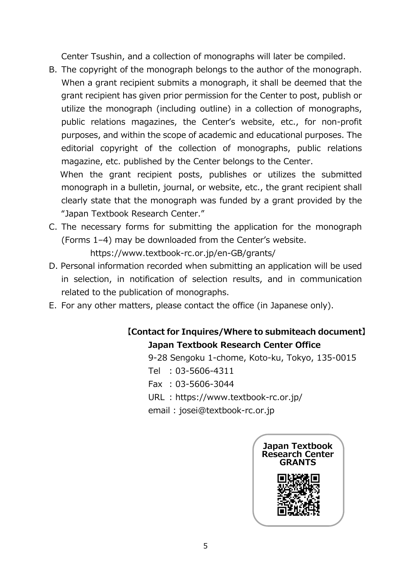Center Tsushin, and a collection of monographs will later be compiled.

B. The copyright of the monograph belongs to the author of the monograph. When a grant recipient submits a monograph, it shall be deemed that the grant recipient has given prior permission for the Center to post, publish or utilize the monograph (including outline) in a collection of monographs, public relations magazines, the Center's website, etc., for non-profit purposes, and within the scope of academic and educational purposes. The editorial copyright of the collection of monographs, public relations magazine, etc. published by the Center belongs to the Center. When the grant recipient posts, publishes or utilizes the submitted

monograph in a bulletin, journal, or website, etc., the grant recipient shall clearly state that the monograph was funded by a grant provided by the "Japan Textbook Research Center."

C. The necessary forms for submitting the application for the monograph (Forms 1–4) may be downloaded from the Center's website.

https://www.textbook-rc.or.jp/en-GB/grants/

- D. Personal information recorded when submitting an application will be used in selection, in notification of selection results, and in communication related to the publication of monographs.
- E. For any other matters, please contact the office (in Japanese only).

# **【Contact for Inquires/Where to submiteach document】 Japan Textbook Research Center Office**

- 9-28 Sengoku 1-chome, Koto-ku, Tokyo, 135-0015
- Tel : 03-5606-4311
- Fax : 03-5606-3044
- URL : https://www.textbook-rc.or.jp/
- email : josei@textbook-rc.or.jp